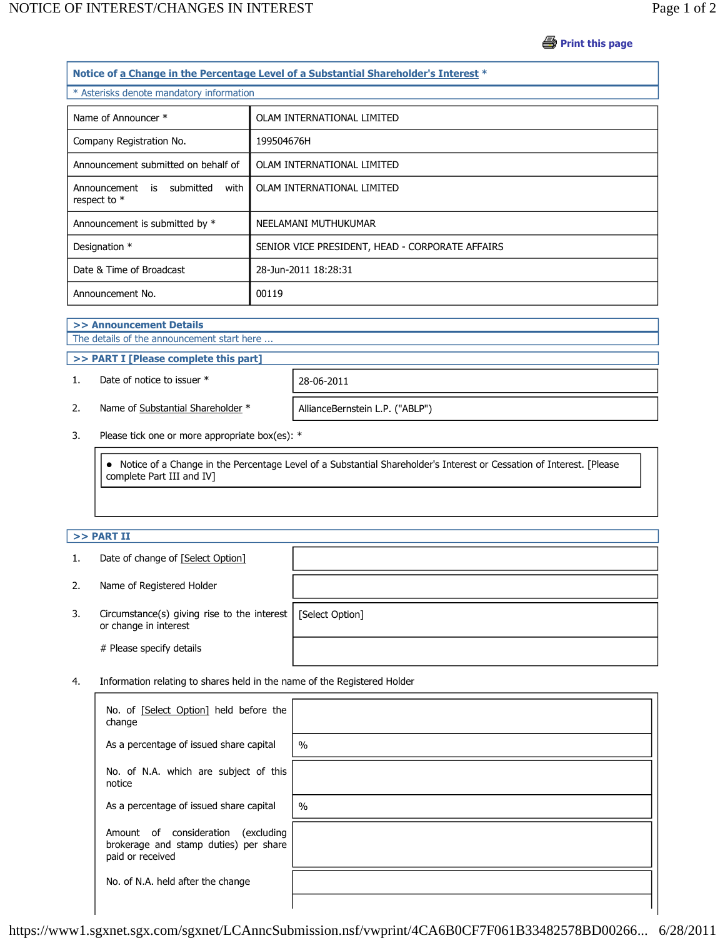**Print this page** 

| Notice of a Change in the Percentage Level of a Substantial Shareholder's Interest * |                                                 |  |
|--------------------------------------------------------------------------------------|-------------------------------------------------|--|
| * Asterisks denote mandatory information                                             |                                                 |  |
| Name of Announcer *                                                                  | OLAM INTERNATIONAL LIMITED                      |  |
| Company Registration No.                                                             | 199504676H                                      |  |
| Announcement submitted on behalf of                                                  | OLAM INTERNATIONAL LIMITED                      |  |
| Announcement<br>submitted<br>with<br>is<br>respect to $*$                            | OLAM INTERNATIONAL LIMITED                      |  |
| Announcement is submitted by *                                                       | NEELAMANI MUTHUKUMAR                            |  |
| Designation *                                                                        | SENIOR VICE PRESIDENT, HEAD - CORPORATE AFFAIRS |  |
| Date & Time of Broadcast                                                             | 28-Jun-2011 18:28:31                            |  |
| Announcement No.                                                                     | 00119                                           |  |

**>> Announcement Details**

The details of the announcement start here ...

**>> PART I [Please complete this part]**

1. Date of notice to issuer \* 28-06-2011

2. Name of Substantial Shareholder \* | AllianceBernstein L.P. ("ABLP")

3. Please tick one or more appropriate box(es): \*

 Notice of a Change in the Percentage Level of a Substantial Shareholder's Interest or Cessation of Interest. [Please complete Part III and IV]

## **>> PART II**

- 1. Date of change of [Select Option]
- 2. Name of Registered Holder
- 3. Circumstance(s) giving rise to the interest or change in interest

# Please specify details

[Select Option]

4. Information relating to shares held in the name of the Registered Holder

| No. of [Select Option] held before the<br>change                                                   |               |
|----------------------------------------------------------------------------------------------------|---------------|
| As a percentage of issued share capital                                                            | $\frac{0}{0}$ |
| No. of N.A. which are subject of this<br>notice                                                    |               |
| As a percentage of issued share capital                                                            | $\frac{0}{0}$ |
| Amount of consideration<br>(excluding<br>brokerage and stamp duties) per share<br>paid or received |               |
| No. of N.A. held after the change                                                                  |               |
|                                                                                                    |               |